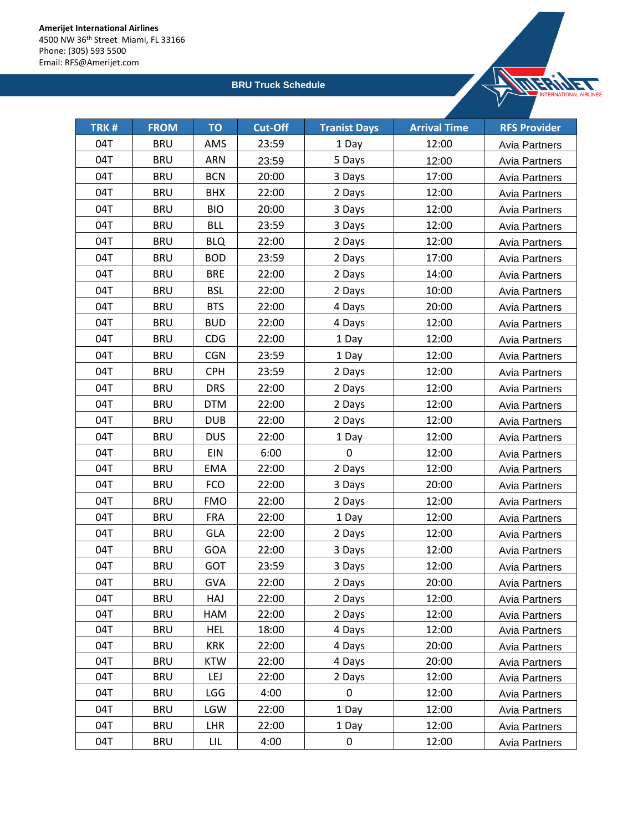## **BRU Truck Schedule**



| TRK# | <b>FROM</b> | <b>TO</b>  | <b>Cut-Off</b> | <b>Tranist Days</b> | <b>Arrival Time</b> | <b>RFS Provider</b>  |
|------|-------------|------------|----------------|---------------------|---------------------|----------------------|
| 04T  | <b>BRU</b>  | AMS        | 23:59          | 1 Day               | 12:00               | Avia Partners        |
| 04T  | <b>BRU</b>  | <b>ARN</b> | 23:59          | 5 Days              | 12:00               | <b>Avia Partners</b> |
| 04T  | <b>BRU</b>  | <b>BCN</b> | 20:00          | 3 Days              | 17:00               | <b>Avia Partners</b> |
| 04T  | <b>BRU</b>  | <b>BHX</b> | 22:00          | 2 Days              | 12:00               | Avia Partners        |
| 04T  | <b>BRU</b>  | <b>BIO</b> | 20:00          | 3 Days              | 12:00               | <b>Avia Partners</b> |
| 04T  | <b>BRU</b>  | <b>BLL</b> | 23:59          | 3 Days              | 12:00               | <b>Avia Partners</b> |
| 04T  | <b>BRU</b>  | <b>BLQ</b> | 22:00          | 2 Days              | 12:00               | <b>Avia Partners</b> |
| 04T  | <b>BRU</b>  | <b>BOD</b> | 23:59          | 2 Days              | 17:00               | <b>Avia Partners</b> |
| 04T  | <b>BRU</b>  | <b>BRE</b> | 22:00          | 2 Days              | 14:00               | Avia Partners        |
| 04T  | <b>BRU</b>  | <b>BSL</b> | 22:00          | 2 Days              | 10:00               | Avia Partners        |
| 04T  | <b>BRU</b>  | <b>BTS</b> | 22:00          | 4 Days              | 20:00               | Avia Partners        |
| 04T  | <b>BRU</b>  | <b>BUD</b> | 22:00          | 4 Days              | 12:00               | <b>Avia Partners</b> |
| 04T  | <b>BRU</b>  | CDG        | 22:00          | 1 Day               | 12:00               | <b>Avia Partners</b> |
| 04T  | <b>BRU</b>  | <b>CGN</b> | 23:59          | 1 Day               | 12:00               | Avia Partners        |
| 04T  | <b>BRU</b>  | <b>CPH</b> | 23:59          | 2 Days              | 12:00               | Avia Partners        |
| 04T  | <b>BRU</b>  | <b>DRS</b> | 22:00          | 2 Days              | 12:00               | Avia Partners        |
| 04T  | <b>BRU</b>  | <b>DTM</b> | 22:00          | 2 Days              | 12:00               | <b>Avia Partners</b> |
| 04T  | <b>BRU</b>  | <b>DUB</b> | 22:00          | 2 Days              | 12:00               | Avia Partners        |
| 04T  | <b>BRU</b>  | <b>DUS</b> | 22:00          | 1 Day               | 12:00               | Avia Partners        |
| 04T  | <b>BRU</b>  | EIN        | 6:00           | $\mathbf 0$         | 12:00               | Avia Partners        |
| 04T  | <b>BRU</b>  | <b>EMA</b> | 22:00          | 2 Days              | 12:00               | <b>Avia Partners</b> |
| 04T  | <b>BRU</b>  | <b>FCO</b> | 22:00          | 3 Days              | 20:00               | <b>Avia Partners</b> |
| 04T  | <b>BRU</b>  | <b>FMO</b> | 22:00          | 2 Days              | 12:00               | <b>Avia Partners</b> |
| 04T  | <b>BRU</b>  | <b>FRA</b> | 22:00          | 1 Day               | 12:00               | Avia Partners        |
| 04T  | <b>BRU</b>  | GLA        | 22:00          | 2 Days              | 12:00               | Avia Partners        |
| 04T  | <b>BRU</b>  | GOA        | 22:00          | 3 Days              | 12:00               | <b>Avia Partners</b> |
| 04T  | <b>BRU</b>  | <b>GOT</b> | 23:59          | 3 Days              | 12:00               | <b>Avia Partners</b> |
| 04T  | <b>BRU</b>  | GVA        | 22:00          | 2 Days              | 20:00               | Avia Partners        |
| 04T  | <b>BRU</b>  | HAJ        | 22:00          | 2 Days              | 12:00               | <b>Avia Partners</b> |
| 04T  | <b>BRU</b>  | HAM        | 22:00          | 2 Days              | 12:00               | <b>Avia Partners</b> |
| 04T  | <b>BRU</b>  | <b>HEL</b> | 18:00          | 4 Days              | 12:00               | Avia Partners        |
| 04T  | <b>BRU</b>  | <b>KRK</b> | 22:00          | 4 Days              | 20:00               | <b>Avia Partners</b> |
| 04T  | <b>BRU</b>  | <b>KTW</b> | 22:00          | 4 Days              | 20:00               | <b>Avia Partners</b> |
| 04T  | <b>BRU</b>  | LEJ        | 22:00          | 2 Days              | 12:00               | <b>Avia Partners</b> |
| 04T  | <b>BRU</b>  | LGG        | 4:00           | $\mathbf 0$         | 12:00               | <b>Avia Partners</b> |
| 04T  | <b>BRU</b>  | LGW        | 22:00          | 1 Day               | 12:00               | <b>Avia Partners</b> |
| 04T  | <b>BRU</b>  | LHR        | 22:00          | 1 Day               | 12:00               | Avia Partners        |
| 04T  | <b>BRU</b>  | LIL        | 4:00           | 0                   | 12:00               | Avia Partners        |